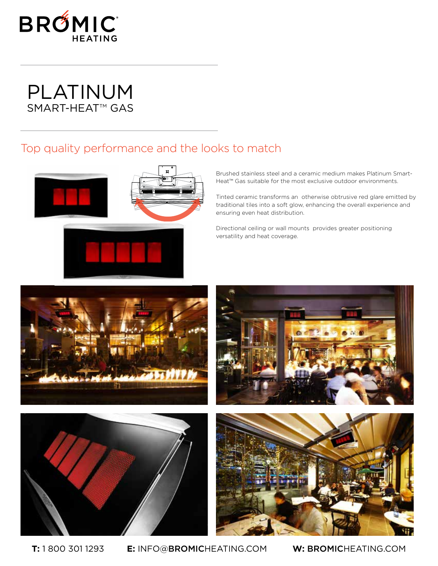

## PLATINUM SMART-HEAT<sup>™</sup> GAS

### Top quality performance and the looks to match



Brushed stainless steel and a ceramic medium makes Platinum Smart-Heat™ Gas suitable for the most exclusive outdoor environments.

Tinted ceramic transforms an otherwise obtrusive red glare emitted by traditional tiles into a soft glow, enhancing the overall experience and ensuring even heat distribution.

Directional ceiling or wall mounts provides greater positioning versatility and heat coverage.